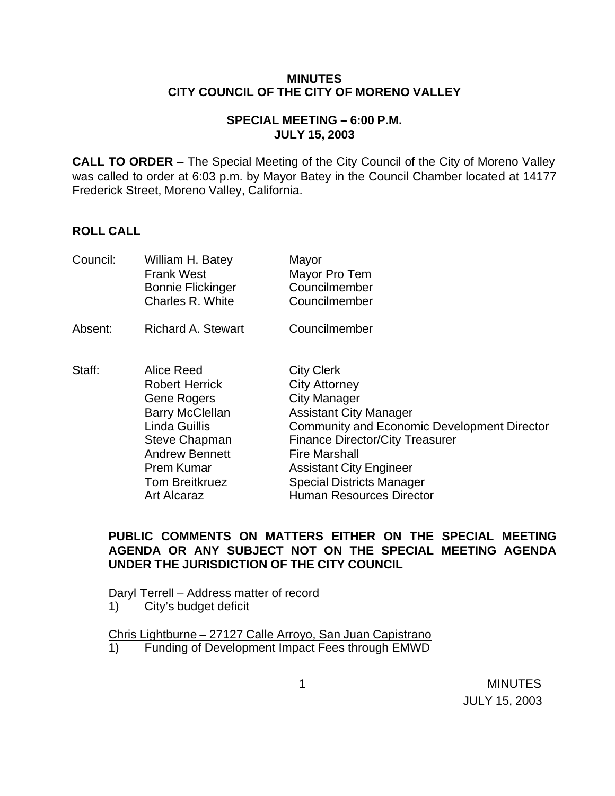#### **MINUTES CITY COUNCIL OF THE CITY OF MORENO VALLEY**

## **SPECIAL MEETING – 6:00 P.M. JULY 15, 2003**

**CALL TO ORDER** – The Special Meeting of the City Council of the City of Moreno Valley was called to order at 6:03 p.m. by Mayor Batey in the Council Chamber located at 14177 Frederick Street, Moreno Valley, California.

## **ROLL CALL**

| Council: | William H. Batey<br><b>Frank West</b><br><b>Bonnie Flickinger</b><br>Charles R. White                                                                                                                              | Mayor<br>Mayor Pro Tem<br>Councilmember<br>Councilmember                                                                                                                                                                                                                                                                    |
|----------|--------------------------------------------------------------------------------------------------------------------------------------------------------------------------------------------------------------------|-----------------------------------------------------------------------------------------------------------------------------------------------------------------------------------------------------------------------------------------------------------------------------------------------------------------------------|
| Absent:  | <b>Richard A. Stewart</b>                                                                                                                                                                                          | Councilmember                                                                                                                                                                                                                                                                                                               |
| Staff:   | Alice Reed<br><b>Robert Herrick</b><br>Gene Rogers<br><b>Barry McClellan</b><br><b>Linda Guillis</b><br><b>Steve Chapman</b><br><b>Andrew Bennett</b><br>Prem Kumar<br><b>Tom Breitkruez</b><br><b>Art Alcaraz</b> | <b>City Clerk</b><br><b>City Attorney</b><br><b>City Manager</b><br><b>Assistant City Manager</b><br>Community and Economic Development Director<br><b>Finance Director/City Treasurer</b><br><b>Fire Marshall</b><br><b>Assistant City Engineer</b><br><b>Special Districts Manager</b><br><b>Human Resources Director</b> |

#### **PUBLIC COMMENTS ON MATTERS EITHER ON THE SPECIAL MEETING AGENDA OR ANY SUBJECT NOT ON THE SPECIAL MEETING AGENDA UNDER THE JURISDICTION OF THE CITY COUNCIL**

Daryl Terrell – Address matter of record

1) City's budget deficit

Chris Lightburne – 27127 Calle Arroyo, San Juan Capistrano 1) Funding of Development Impact Fees through EMWD

 1 MINUTES JULY 15, 2003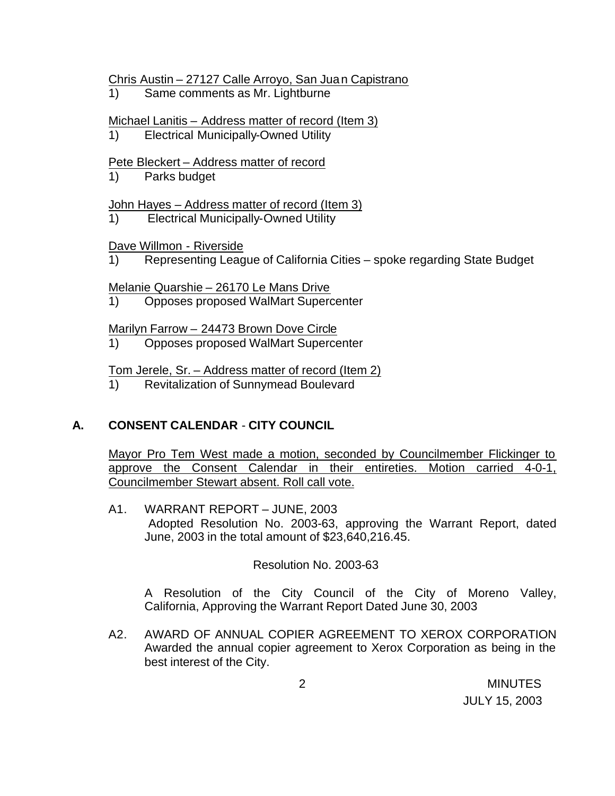#### Chris Austin – 27127 Calle Arroyo, San Juan Capistrano

1) Same comments as Mr. Lightburne

#### Michael Lanitis – Address matter of record (Item 3)

1) Electrical Municipally-Owned Utility

#### Pete Bleckert – Address matter of record

1) Parks budget

#### John Hayes – Address matter of record (Item 3)

1) Electrical Municipally-Owned Utility

## Dave Willmon - Riverside

1) Representing League of California Cities – spoke regarding State Budget

#### Melanie Quarshie – 26170 Le Mans Drive

1) Opposes proposed WalMart Supercenter

Marilyn Farrow – 24473 Brown Dove Circle

1) Opposes proposed WalMart Supercenter

# Tom Jerele, Sr. – Address matter of record (Item 2)

1) Revitalization of Sunnymead Boulevard

# **A. CONSENT CALENDAR** - **CITY COUNCIL**

Mayor Pro Tem West made a motion, seconded by Councilmember Flickinger to approve the Consent Calendar in their entireties. Motion carried 4-0-1, Councilmember Stewart absent. Roll call vote.

A1. WARRANT REPORT – JUNE, 2003 Adopted Resolution No. 2003-63, approving the Warrant Report, dated June, 2003 in the total amount of \$23,640,216.45.

# Resolution No. 2003-63

A Resolution of the City Council of the City of Moreno Valley, California, Approving the Warrant Report Dated June 30, 2003

A2. AWARD OF ANNUAL COPIER AGREEMENT TO XEROX CORPORATION Awarded the annual copier agreement to Xerox Corporation as being in the best interest of the City.